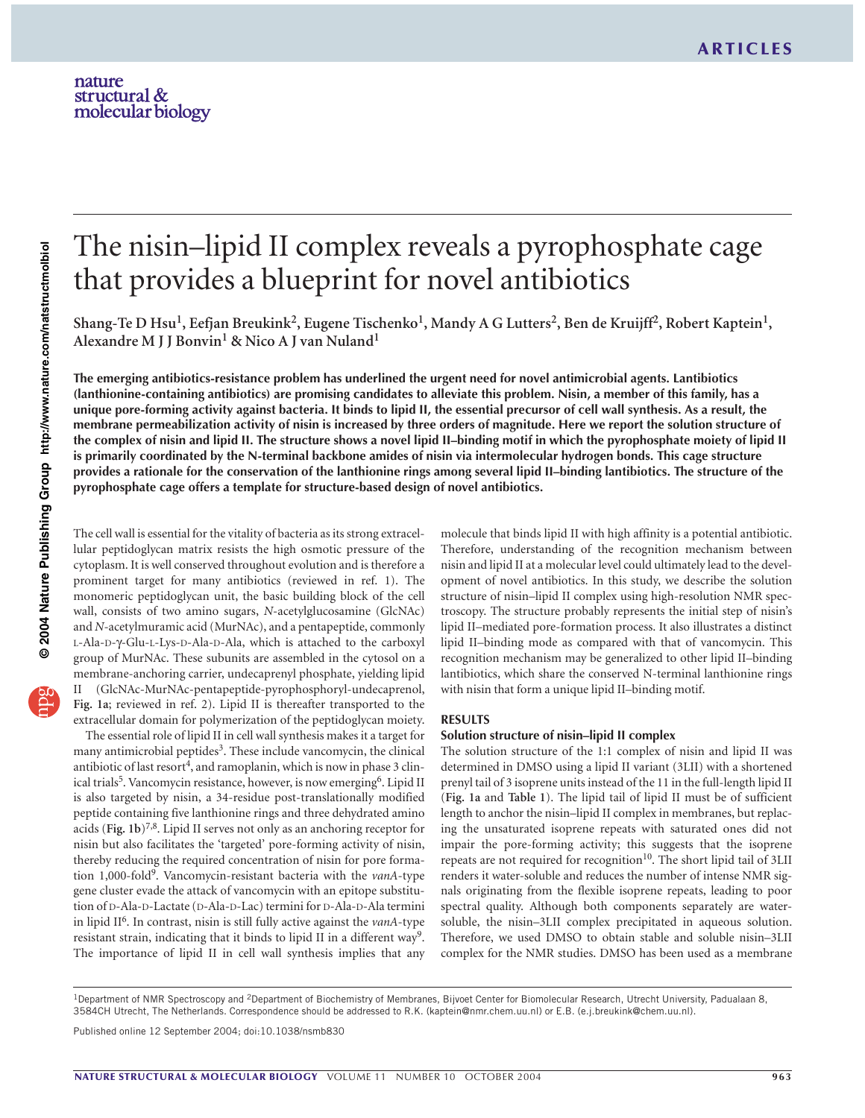# The nisin–lipid II complex reveals a pyrophosphate cage that provides a blueprint for novel antibiotics

Shang-Te D Hsu<sup>1</sup>, Eefjan Breukink<sup>2</sup>, Eugene Tischenko<sup>1</sup>, Mandy A G Lutters<sup>2</sup>, Ben de Kruijff<sup>2</sup>, Robert Kaptein<sup>1</sup>, **Alexandre M J J Bonvin<sup>1</sup> & Nico A J van Nuland<sup>1</sup>**

**The emerging antibiotics-resistance problem has underlined the urgent need for novel antimicrobial agents. Lantibiotics (lanthionine-containing antibiotics) are promising candidates to alleviate this problem. Nisin, a member of this family, has a unique pore-forming activity against bacteria. It binds to lipid II, the essential precursor of cell wall synthesis. As a result, the membrane permeabilization activity of nisin is increased by three orders of magnitude. Here we report the solution structure of the complex of nisin and lipid II. The structure shows a novel lipid II–binding motif in which the pyrophosphate moiety of lipid II is primarily coordinated by the N-terminal backbone amides of nisin via intermolecular hydrogen bonds. This cage structure provides a rationale for the conservation of the lanthionine rings among several lipid II–binding lantibiotics. The structure of the pyrophosphate cage offers a template for structure-based design of novel antibiotics.**

The cell wall is essential for the vitality of bacteria as its strong extracellular peptidoglycan matrix resists the high osmotic pressure of the cytoplasm. It is well conserved throughout evolution and is therefore a prominent target for many antibiotics (reviewed in ref. 1). The monomeric peptidoglycan unit, the basic building block of the cell wall, consists of two amino sugars, *N*-acetylglucosamine (GlcNAc) and *N*-acetylmuramic acid (MurNAc), and a pentapeptide, commonly L-Ala-D-γ-Glu-L-Lys-D-Ala-D-Ala, which is attached to the carboxyl group of MurNAc. These subunits are assembled in the cytosol on a membrane-anchoring carrier, undecaprenyl phosphate, yielding lipid II (GlcNAc-MurNAc-pentapeptide-pyrophosphoryl-undecaprenol, **Fig. 1a**; reviewed in ref. 2). Lipid II is thereafter transported to the extracellular domain for polymerization of the peptidoglycan moiety.

The essential role of lipid II in cell wall synthesis makes it a target for many antimicrobial peptides<sup>3</sup>. These include vancomycin, the clinical antibiotic of last resort<sup>4</sup>, and ramoplanin, which is now in phase 3 clinical trials<sup>5</sup>. Vancomycin resistance, however, is now emerging<sup>6</sup>. Lipid II is also targeted by nisin, a 34-residue post-translationally modified peptide containing five lanthionine rings and three dehydrated amino acids (**Fig. 1b**)7,8. Lipid II serves not only as an anchoring receptor for nisin but also facilitates the 'targeted' pore-forming activity of nisin, thereby reducing the required concentration of nisin for pore formation 1,000-fold9. Vancomycin-resistant bacteria with the *vanA*-type gene cluster evade the attack of vancomycin with an epitope substitution of D-Ala-D-Lactate (D-Ala-D-Lac) termini for D-Ala-D-Ala termini in lipid II6. In contrast, nisin is still fully active against the *vanA*-type resistant strain, indicating that it binds to lipid II in a different way<sup>9</sup>. The importance of lipid II in cell wall synthesis implies that any

molecule that binds lipid II with high affinity is a potential antibiotic. Therefore, understanding of the recognition mechanism between nisin and lipid II at a molecular level could ultimately lead to the development of novel antibiotics. In this study, we describe the solution structure of nisin–lipid II complex using high-resolution NMR spectroscopy. The structure probably represents the initial step of nisin's lipid II–mediated pore-formation process. It also illustrates a distinct lipid II–binding mode as compared with that of vancomycin. This recognition mechanism may be generalized to other lipid II–binding lantibiotics, which share the conserved N-terminal lanthionine rings with nisin that form a unique lipid II–binding motif.

#### **RESULTS**

## **Solution structure of nisin–lipid II complex**

The solution structure of the 1:1 complex of nisin and lipid II was determined in DMSO using a lipid II variant (3LII) with a shortened prenyl tail of 3 isoprene units instead of the 11 in the full-length lipid II (**Fig. 1a** and **Table 1**). The lipid tail of lipid II must be of sufficient length to anchor the nisin–lipid II complex in membranes, but replacing the unsaturated isoprene repeats with saturated ones did not impair the pore-forming activity; this suggests that the isoprene repeats are not required for recognition<sup>10</sup>. The short lipid tail of 3LII renders it water-soluble and reduces the number of intense NMR signals originating from the flexible isoprene repeats, leading to poor spectral quality. Although both components separately are watersoluble, the nisin–3LII complex precipitated in aqueous solution. Therefore, we used DMSO to obtain stable and soluble nisin–3LII complex for the NMR studies. DMSO has been used as a membrane

<sup>1</sup>Department of NMR Spectroscopy and <sup>2</sup>Department of Biochemistry of Membranes, Bijvoet Center for Biomolecular Research, Utrecht University, Padualaan 8, 3584CH Utrecht, The Netherlands. Correspondence should be addressed to R.K. (kaptein@nmr.chem.uu.nl) or E.B. (e.j.breukink@chem.uu.nl).

Published online 12 September 2004; doi:10.1038/nsmb830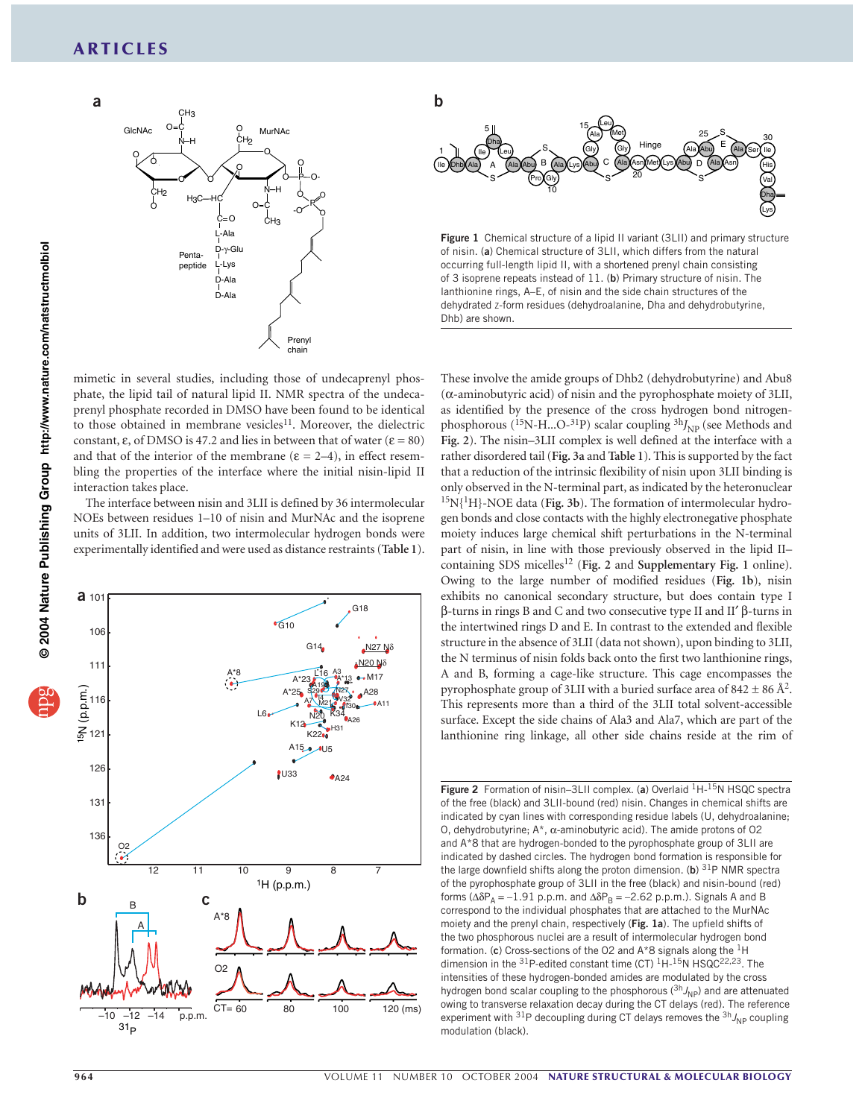

mimetic in several studies, including those of undecaprenyl phosphate, the lipid tail of natural lipid II. NMR spectra of the undecaprenyl phosphate recorded in DMSO have been found to be identical to those obtained in membrane vesicles<sup>11</sup>. Moreover, the dielectric constant,  $\varepsilon$ , of DMSO is 47.2 and lies in between that of water ( $\varepsilon = 80$ ) and that of the interior of the membrane ( $\varepsilon = 2-4$ ), in effect resembling the properties of the interface where the initial nisin-lipid II interaction takes place.

The interface between nisin and 3LII is defined by 36 intermolecular NOEs between residues 1–10 of nisin and MurNAc and the isoprene units of 3LII. In addition, two intermolecular hydrogen bonds were experimentally identified and were used as distance restraints (**Table 1**).





**Figure 1** Chemical structure of a lipid II variant (3LII) and primary structure of nisin. (**a**) Chemical structure of 3LII, which differs from the natural occurring full-length lipid II, with a shortened prenyl chain consisting of 3 isoprene repeats instead of 11. (**b**) Primary structure of nisin. The lanthionine rings, A–E, of nisin and the side chain structures of the dehydrated z-form residues (dehydroalanine, Dha and dehydrobutyrine, Dhb) are shown.

These involve the amide groups of Dhb2 (dehydrobutyrine) and Abu8 (α-aminobutyric acid) of nisin and the pyrophosphate moiety of 3LII, as identified by the presence of the cross hydrogen bond nitrogenphosphorous ( $^{15}N$ -H...O- $^{31}P$ ) scalar coupling  $^{3h}J_{NP}$  (see Methods and **Fig. 2**). The nisin–3LII complex is well defined at the interface with a rather disordered tail (**Fig. 3a** and **Table 1**). This is supported by the fact that a reduction of the intrinsic flexibility of nisin upon 3LII binding is only observed in the N-terminal part, as indicated by the heteronuclear 15N{1H}-NOE data (**Fig. 3b**). The formation of intermolecular hydrogen bonds and close contacts with the highly electronegative phosphate moiety induces large chemical shift perturbations in the N-terminal part of nisin, in line with those previously observed in the lipid II– containing SDS micelles<sup>12</sup> (Fig. 2 and Supplementary Fig. 1 online). Owing to the large number of modified residues (**Fig. 1b**), nisin exhibits no canonical secondary structure, but does contain type I β-turns in rings B and C and two consecutive type II and II′ β-turns in the intertwined rings D and E. In contrast to the extended and flexible structure in the absence of 3LII (data not shown), upon binding to 3LII, the N terminus of nisin folds back onto the first two lanthionine rings, A and B, forming a cage-like structure. This cage encompasses the pyrophosphate group of 3LII with a buried surface area of  $842 \pm 86$  Å<sup>2</sup>. This represents more than a third of the 3LII total solvent-accessible surface. Except the side chains of Ala3 and Ala7, which are part of the lanthionine ring linkage, all other side chains reside at the rim of

**Figure 2** Formation of nisin–3LII complex. (a) Overlaid <sup>1</sup>H-<sup>15</sup>N HSQC spectra of the free (black) and 3LII-bound (red) nisin. Changes in chemical shifts are indicated by cyan lines with corresponding residue labels (U, dehydroalanine; O, dehydrobutyrine; A\*, α-aminobutyric acid). The amide protons of O2 and A\*8 that are hydrogen-bonded to the pyrophosphate group of 3LII are indicated by dashed circles. The hydrogen bond formation is responsible for the large downfield shifts along the proton dimension. (**b**) 31P NMR spectra of the pyrophosphate group of 3LII in the free (black) and nisin-bound (red) forms ( $\Delta \delta P_A = -1.91$  p.p.m. and  $\Delta \delta P_B = -2.62$  p.p.m.). Signals A and B correspond to the individual phosphates that are attached to the MurNAc moiety and the prenyl chain, respectively (**Fig. 1a**). The upfield shifts of the two phosphorous nuclei are a result of intermolecular hydrogen bond formation. (**c**) Cross-sections of the O2 and A\*8 signals along the 1H dimension in the  $31P$ -edited constant time (CT)  $1H-15N$  HSQC<sup>22,23</sup>. The intensities of these hydrogen-bonded amides are modulated by the cross hydrogen bond scalar coupling to the phosphorous (<sup>3h</sup>J<sub>NP</sub>) and are attenuated owing to transverse relaxation decay during the CT delays (red). The reference experiment with <sup>31</sup>P decoupling during CT delays removes the <sup>3h</sup> J<sub>NP</sub> coupling modulation (black).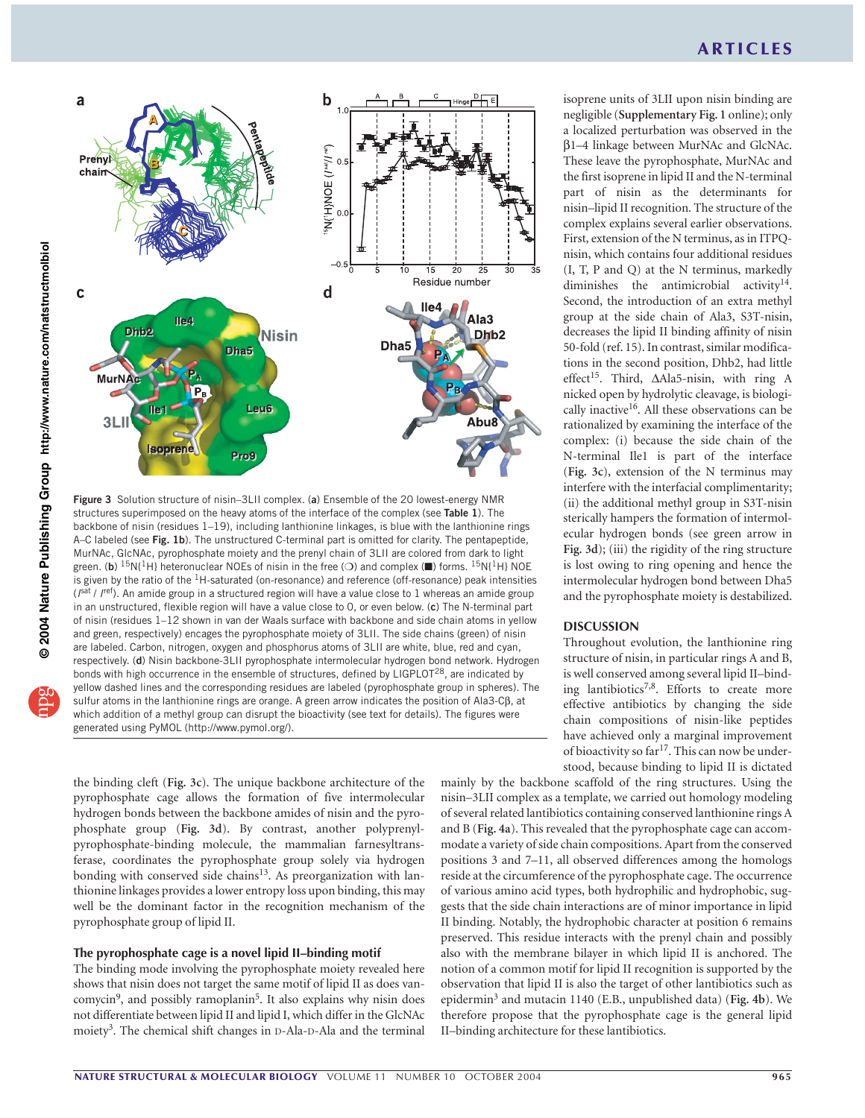

**Figure 3** Solution structure of nisin–3LII complex. (**a**) Ensemble of the 20 lowest-energy NMR structures superimposed on the heavy atoms of the interface of the complex (see **Table 1**). The backbone of nisin (residues 1–19), including lanthionine linkages, is blue with the lanthionine rings A–C labeled (see **Fig. 1b**). The unstructured C-terminal part is omitted for clarity. The pentapeptide, MurNAc, GlcNAc, pyrophosphate moiety and the prenyl chain of 3LII are colored from dark to light green. (**b**) <sup>15</sup>N{<sup>1</sup>H} heteronuclear NOEs of nisin in the free (○) and complex (■) forms. <sup>15</sup>N{<sup>1</sup>H} NOE is given by the ratio of the 1H-saturated (on-resonance) and reference (off-resonance) peak intensities (*I*sat / *I*ref). An amide group in a structured region will have a value close to 1 whereas an amide group in an unstructured, flexible region will have a value close to 0, or even below. (**c**) The N-terminal part of nisin (residues 1–12 shown in van der Waals surface with backbone and side chain atoms in yellow and green, respectively) encages the pyrophosphate moiety of 3LII. The side chains (green) of nisin are labeled. Carbon, nitrogen, oxygen and phosphorus atoms of 3LII are white, blue, red and cyan, respectively. (**d**) Nisin backbone-3LII pyrophosphate intermolecular hydrogen bond network. Hydrogen bonds with high occurrence in the ensemble of structures, defined by LIGPLOT<sup>28</sup>, are indicated by yellow dashed lines and the corresponding residues are labeled (pyrophosphate group in spheres). The sulfur atoms in the lanthionine rings are orange. A green arrow indicates the position of Ala3-Cβ, at which addition of a methyl group can disrupt the bioactivity (see text for details). The figures were generated using PyMOL (http://www.pymol.org/).

the binding cleft (**Fig. 3c**). The unique backbone architecture of the pyrophosphate cage allows the formation of five intermolecular hydrogen bonds between the backbone amides of nisin and the pyrophosphate group (**Fig. 3d**). By contrast, another polyprenylpyrophosphate-binding molecule, the mammalian farnesyltransferase, coordinates the pyrophosphate group solely via hydrogen bonding with conserved side chains $13$ . As preorganization with lanthionine linkages provides a lower entropy loss upon binding, this may well be the dominant factor in the recognition mechanism of the pyrophosphate group of lipid II.

## **The pyrophosphate cage is a novel lipid II–binding motif**

The binding mode involving the pyrophosphate moiety revealed here shows that nisin does not target the same motif of lipid II as does vancomycin<sup>9</sup>, and possibly ramoplanin<sup>5</sup>. It also explains why nisin does not differentiate between lipid II and lipid I, which differ in the GlcNAc moiety<sup>3</sup>. The chemical shift changes in  $D$ -Ala- $D$ -Ala and the terminal

isoprene units of 3LII upon nisin binding are negligible (**Supplementary Fig. 1** online); only a localized perturbation was observed in the β1–4 linkage between MurNAc and GlcNAc. These leave the pyrophosphate, MurNAc and the first isoprene in lipid II and the N-terminal part of nisin as the determinants for nisin–lipid II recognition. The structure of the complex explains several earlier observations. First, extension of the N terminus, as in ITPQnisin, which contains four additional residues (I, T, P and Q) at the N terminus, markedly diminishes the antimicrobial activity<sup>14</sup>. Second, the introduction of an extra methyl group at the side chain of Ala3, S3T-nisin, decreases the lipid II binding affinity of nisin 50-fold (ref. 15). In contrast, similar modifications in the second position, Dhb2, had little effect<sup>15</sup>. Third, ∆Ala5-nisin, with ring A nicked open by hydrolytic cleavage, is biologically inactive<sup>16</sup>. All these observations can be rationalized by examining the interface of the complex: (i) because the side chain of the N-terminal Ile1 is part of the interface (**Fig. 3c**), extension of the N terminus may interfere with the interfacial complimentarity; (ii) the additional methyl group in S3T-nisin sterically hampers the formation of intermolecular hydrogen bonds (see green arrow in **Fig. 3d**); (iii) the rigidity of the ring structure is lost owing to ring opening and hence the intermolecular hydrogen bond between Dha5 and the pyrophosphate moiety is destabilized.

## **DISCUSSION**

Throughout evolution, the lanthionine ring structure of nisin, in particular rings A and B, is well conserved among several lipid II–binding lantibiotics<sup>7,8</sup>. Efforts to create more effective antibiotics by changing the side chain compositions of nisin-like peptides have achieved only a marginal improvement of bioactivity so far<sup>17</sup>. This can now be understood, because binding to lipid II is dictated

mainly by the backbone scaffold of the ring structures. Using the nisin–3LII complex as a template, we carried out homology modeling of several related lantibiotics containing conserved lanthionine rings A and B (**Fig. 4a**). This revealed that the pyrophosphate cage can accommodate a variety of side chain compositions. Apart from the conserved positions 3 and 7–11, all observed differences among the homologs reside at the circumference of the pyrophosphate cage. The occurrence of various amino acid types, both hydrophilic and hydrophobic, suggests that the side chain interactions are of minor importance in lipid II binding. Notably, the hydrophobic character at position 6 remains preserved. This residue interacts with the prenyl chain and possibly also with the membrane bilayer in which lipid II is anchored. The notion of a common motif for lipid II recognition is supported by the observation that lipid II is also the target of other lantibiotics such as epidermin<sup>3</sup> and mutacin 1140 (E.B., unpublished data) (**Fig. 4b**). We therefore propose that the pyrophosphate cage is the general lipid II–binding architecture for these lantibiotics.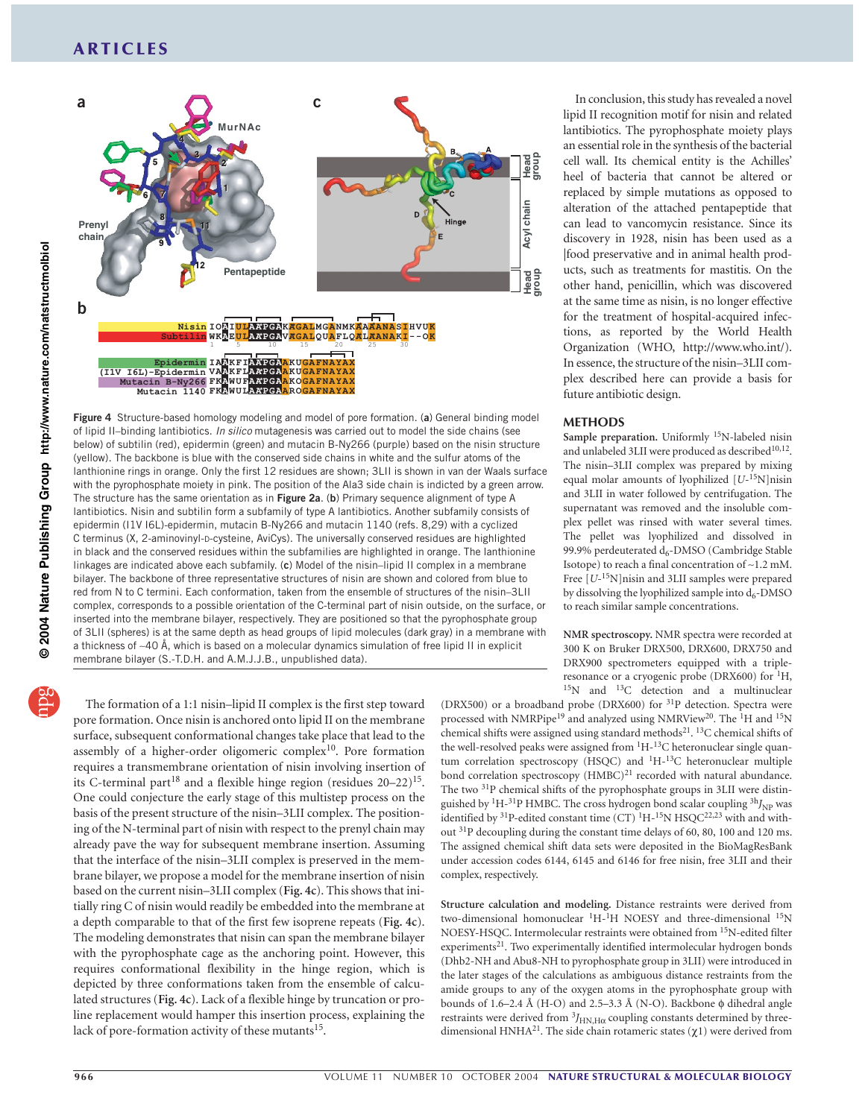

**Figure 4** Structure-based homology modeling and model of pore formation. (**a**) General binding model of lipid II–binding lantibiotics. *In silico* mutagenesis was carried out to model the side chains (see below) of subtilin (red), epidermin (green) and mutacin B-Ny266 (purple) based on the nisin structure (yellow). The backbone is blue with the conserved side chains in white and the sulfur atoms of the lanthionine rings in orange. Only the first 12 residues are shown; 3LII is shown in van der Waals surface with the pyrophosphate moiety in pink. The position of the Ala3 side chain is indicted by a green arrow. The structure has the same orientation as in **Figure 2a**. (**b**) Primary sequence alignment of type A lantibiotics. Nisin and subtilin form a subfamily of type A lantibiotics. Another subfamily consists of epidermin (I1V I6L)-epidermin, mutacin B-Ny266 and mutacin 1140 (refs. 8,29) with a cyclized C terminus (X, 2-aminovinyl-D-cysteine, AviCys). The universally conserved residues are highlighted in black and the conserved residues within the subfamilies are highlighted in orange. The lanthionine linkages are indicated above each subfamily. (**c**) Model of the nisin–lipid II complex in a membrane bilayer. The backbone of three representative structures of nisin are shown and colored from blue to red from N to C termini. Each conformation, taken from the ensemble of structures of the nisin–3LII complex, corresponds to a possible orientation of the C-terminal part of nisin outside, on the surface, or inserted into the membrane bilayer, respectively. They are positioned so that the pyrophosphate group of 3LII (spheres) is at the same depth as head groups of lipid molecules (dark gray) in a membrane with a thickness of ∼40 Å, which is based on a molecular dynamics simulation of free lipid II in explicit membrane bilayer (S.-T.D.H. and A.M.J.J.B., unpublished data).

The formation of a 1:1 nisin–lipid II complex is the first step toward pore formation. Once nisin is anchored onto lipid II on the membrane surface, subsequent conformational changes take place that lead to the assembly of a higher-order oligomeric complex<sup>10</sup>. Pore formation requires a transmembrane orientation of nisin involving insertion of its C-terminal part<sup>18</sup> and a flexible hinge region (residues  $20-22$ )<sup>15</sup>. One could conjecture the early stage of this multistep process on the basis of the present structure of the nisin–3LII complex. The positioning of the N-terminal part of nisin with respect to the prenyl chain may already pave the way for subsequent membrane insertion. Assuming that the interface of the nisin–3LII complex is preserved in the membrane bilayer, we propose a model for the membrane insertion of nisin based on the current nisin–3LII complex (**Fig. 4c**). This shows that initially ring C of nisin would readily be embedded into the membrane at a depth comparable to that of the first few isoprene repeats (**Fig. 4c**). The modeling demonstrates that nisin can span the membrane bilayer with the pyrophosphate cage as the anchoring point. However, this requires conformational flexibility in the hinge region, which is depicted by three conformations taken from the ensemble of calculated structures (**Fig. 4c**). Lack of a flexible hinge by truncation or proline replacement would hamper this insertion process, explaining the lack of pore-formation activity of these mutants<sup>15</sup>.

In conclusion, this study has revealed a novel lipid II recognition motif for nisin and related lantibiotics. The pyrophosphate moiety plays an essential role in the synthesis of the bacterial cell wall. Its chemical entity is the Achilles' heel of bacteria that cannot be altered or replaced by simple mutations as opposed to alteration of the attached pentapeptide that can lead to vancomycin resistance. Since its discovery in 1928, nisin has been used as a |food preservative and in animal health products, such as treatments for mastitis. On the other hand, penicillin, which was discovered at the same time as nisin, is no longer effective for the treatment of hospital-acquired infections, as reported by the World Health Organization (WHO, http://www.who.int/). In essence, the structure of the nisin–3LII complex described here can provide a basis for future antibiotic design.

#### **METHODS**

Sample preparation. Uniformly <sup>15</sup>N-labeled nisin and unlabeled 3LII were produced as described<sup>10,12</sup>. The nisin–3LII complex was prepared by mixing equal molar amounts of lyophilized [*U*-15N]nisin and 3LII in water followed by centrifugation. The supernatant was removed and the insoluble complex pellet was rinsed with water several times. The pellet was lyophilized and dissolved in 99.9% perdeuterated  $d_6$ -DMSO (Cambridge Stable Isotope) to reach a final concentration of ∼1.2 mM. Free  $[U^{-15}N]$ nisin and 3LII samples were prepared by dissolving the lyophilized sample into  $d_6$ -DMSO to reach similar sample concentrations.

**NMR spectroscopy.** NMR spectra were recorded at 300 K on Bruker DRX500, DRX600, DRX750 and DRX900 spectrometers equipped with a tripleresonance or a cryogenic probe (DRX600) for <sup>1</sup>H, <sup>15</sup>N and <sup>13</sup>C detection and a multinuclear

(DRX500) or a broadband probe (DRX600) for 31P detection. Spectra were processed with NMRPipe<sup>19</sup> and analyzed using NMRView<sup>20</sup>. The <sup>1</sup>H and <sup>15</sup>N chemical shifts were assigned using standard methods<sup>21</sup>. <sup>13</sup>C chemical shifts of the well-resolved peaks were assigned from  ${}^{1}H-{}^{13}C$  heteronuclear single quantum correlation spectroscopy (HSQC) and <sup>1</sup>H-<sup>13</sup>C heteronuclear multiple bond correlation spectroscopy  $(HMBC)^{21}$  recorded with natural abundance. The two <sup>31</sup>P chemical shifts of the pyrophosphate groups in 3LII were distinguished by <sup>1</sup>H-<sup>31</sup>P HMBC. The cross hydrogen bond scalar coupling <sup>3h</sup>J<sub>NP</sub> was identified by <sup>31</sup>P-edited constant time (CT)<sup>1</sup>H-<sup>15</sup>N HSQC<sup>22,23</sup> with and without 31P decoupling during the constant time delays of 60, 80, 100 and 120 ms. The assigned chemical shift data sets were deposited in the BioMagResBank under accession codes 6144, 6145 and 6146 for free nisin, free 3LII and their complex, respectively.

**Structure calculation and modeling.** Distance restraints were derived from two-dimensional homonuclear <sup>1</sup>H-<sup>1</sup>H NOESY and three-dimensional <sup>15</sup>N NOESY-HSQC. Intermolecular restraints were obtained from 15N-edited filter experiments<sup>21</sup>. Two experimentally identified intermolecular hydrogen bonds (Dhb2-NH and Abu8-NH to pyrophosphate group in 3LII) were introduced in the later stages of the calculations as ambiguous distance restraints from the amide groups to any of the oxygen atoms in the pyrophosphate group with bounds of 1.6–2.4 Å (H-O) and 2.5–3.3 Å (N-O). Backbone φ dihedral angle restraints were derived from  $^3J_{\rm H N, H\alpha}$  coupling constants determined by threedimensional HNHA<sup>21</sup>. The side chain rotameric states ( $\chi$ 1) were derived from